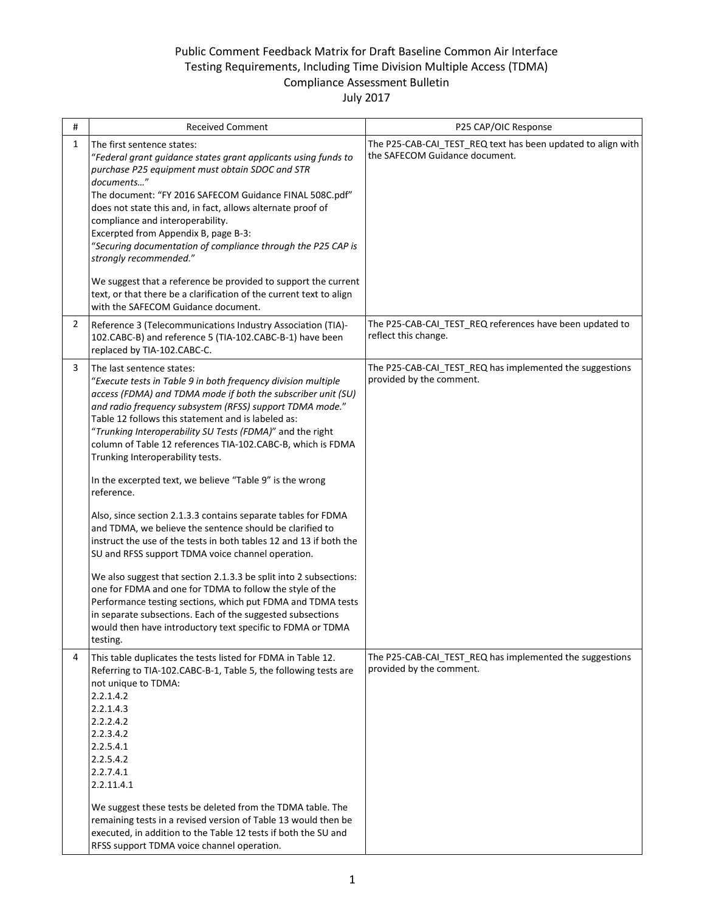## Public Comment Feedback Matrix for Draft Baseline Common Air Interface Testing Requirements, Including Time Division Multiple Access (TDMA) Compliance Assessment Bulletin

## July 2017

| #              | <b>Received Comment</b>                                                                                                                                                                                                                                                                                                                                                                                                                                                                                                                                                                                                                                                                                                                                                                                                                                                                                                                                                                                                                                                                                                | P25 CAP/OIC Response                                                                           |
|----------------|------------------------------------------------------------------------------------------------------------------------------------------------------------------------------------------------------------------------------------------------------------------------------------------------------------------------------------------------------------------------------------------------------------------------------------------------------------------------------------------------------------------------------------------------------------------------------------------------------------------------------------------------------------------------------------------------------------------------------------------------------------------------------------------------------------------------------------------------------------------------------------------------------------------------------------------------------------------------------------------------------------------------------------------------------------------------------------------------------------------------|------------------------------------------------------------------------------------------------|
| 1              | The first sentence states:<br>"Federal grant guidance states grant applicants using funds to<br>purchase P25 equipment must obtain SDOC and STR<br>documents"<br>The document: "FY 2016 SAFECOM Guidance FINAL 508C.pdf"<br>does not state this and, in fact, allows alternate proof of<br>compliance and interoperability.<br>Excerpted from Appendix B, page B-3:<br>"Securing documentation of compliance through the P25 CAP is<br>strongly recommended."<br>We suggest that a reference be provided to support the current<br>text, or that there be a clarification of the current text to align<br>with the SAFECOM Guidance document.                                                                                                                                                                                                                                                                                                                                                                                                                                                                          | The P25-CAB-CAI_TEST_REQ text has been updated to align with<br>the SAFECOM Guidance document. |
| $\overline{2}$ | Reference 3 (Telecommunications Industry Association (TIA)-<br>102.CABC-B) and reference 5 (TIA-102.CABC-B-1) have been<br>replaced by TIA-102.CABC-C.                                                                                                                                                                                                                                                                                                                                                                                                                                                                                                                                                                                                                                                                                                                                                                                                                                                                                                                                                                 | The P25-CAB-CAI_TEST_REQ references have been updated to<br>reflect this change.               |
| 3              | The last sentence states:<br>"Execute tests in Table 9 in both frequency division multiple<br>access (FDMA) and TDMA mode if both the subscriber unit (SU)<br>and radio frequency subsystem (RFSS) support TDMA mode."<br>Table 12 follows this statement and is labeled as:<br>"Trunking Interoperability SU Tests (FDMA)" and the right<br>column of Table 12 references TIA-102.CABC-B, which is FDMA<br>Trunking Interoperability tests.<br>In the excerpted text, we believe "Table 9" is the wrong<br>reference.<br>Also, since section 2.1.3.3 contains separate tables for FDMA<br>and TDMA, we believe the sentence should be clarified to<br>instruct the use of the tests in both tables 12 and 13 if both the<br>SU and RFSS support TDMA voice channel operation.<br>We also suggest that section 2.1.3.3 be split into 2 subsections:<br>one for FDMA and one for TDMA to follow the style of the<br>Performance testing sections, which put FDMA and TDMA tests<br>in separate subsections. Each of the suggested subsections<br>would then have introductory text specific to FDMA or TDMA<br>testing. | The P25-CAB-CAI TEST REQ has implemented the suggestions<br>provided by the comment.           |
| 4              | This table duplicates the tests listed for FDMA in Table 12.<br>Referring to TIA-102.CABC-B-1, Table 5, the following tests are<br>not unique to TDMA:<br>2.2.1.4.2<br>2.2.1.4.3<br>2.2.2.4.2<br>2.2.3.4.2<br>2.2.5.4.1<br>2.2.5.4.2<br>2.2.7.4.1<br>2.2.11.4.1<br>We suggest these tests be deleted from the TDMA table. The<br>remaining tests in a revised version of Table 13 would then be<br>executed, in addition to the Table 12 tests if both the SU and<br>RFSS support TDMA voice channel operation.                                                                                                                                                                                                                                                                                                                                                                                                                                                                                                                                                                                                        | The P25-CAB-CAI_TEST_REQ has implemented the suggestions<br>provided by the comment.           |